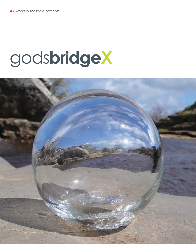# gods**bridgeX**

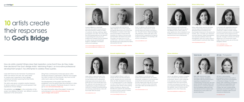Lead artist Tania Kovats mentored 10 professional artists over almost one year, who were asked to create work in response to God's Bridge, a limestone formation spanning the River Greta, high in the Pennines.

The artists were given complete creative freedom to devise a piece of work that would represent their experience of God's Bridge.

This exhibition; gods**bridgeX** is the culmination of the project and displays the artists' very different creative responses to the same place.

Siting these contemporary landscape pieces within The Bowes Museum's permanent collection encourages the visitor to search for the artworks, very much as the artists had to seek out God's Bridge.

The development of the project and the artists' progression over the period were documented on video, which can be viewed in The Bowes Museum's foyer or go to www.artworksinteesdale.org

For more information about the project, its aims and outcomes go to www.artworksinteesdale.org /god-s-bridge-artist-project/



How do artists create? Where does their inspiration come from? How do they make their decisions? The God's Bridge Artists' Mentoring Project, an innovative professional development project, has attempted to address these queries.

## **Lesley Hicks**



**Gillian Tallentire**

## **Hannah Leighton-Boyce**



### **Ewan Allinson**

### **Steve Messam**



Suzanne Williams is a visual artist who lives and works in County Durham. Her recent practice consists of a series of sculptures, drawings, paintings, digital photography and video. The works range from the representational to the abstract, incorporating both every day and traditional art materials. She has exhibited in various venues across North East England, undertaken commissions and runs art workshops.

www.suzannewilliamsart.blogspot.co.uk www.suzannewilliamsart.wordpress.com

Lesley Hicks is a senior lecturer in Fine Art at Teesside University. Her interests include historical and contemporary landscape (natural and urban) with a particular focus upon landscape in flux. The collection and development of her material spans a range of media and methods of working combining painting and drawing made directly on site with that made within the studio.

www.lesleyhicks.com

As a local textile artist and teacher, Gillian Tallentire's love of the outdoors has greatly influenced much of her work. Photography is a passion which helps her record images of nature that she translates into a piece of artwork using her fascination with texture and colour. This project has taken her out of her comfort zone – she had no control over the elements that manipulated the fabrics devoured by the river.

www.vervey.wordpress.com/gillian-tallentire

Hannah Leighton-Boyce's work is an enquiry into the way time and place are felt, experienced and constructed. Ideas are often developed in response to, or created specific to a site, exploring our role in their history and how materials and places bear witness to time passing. Notions of presence, absence and liminality are central to the exploration of a space and the narrative, material and processes that she uses.

# 10 artists create their responses to **God's Bridge**

www.hannahleightonboyce.com

Ewan's sculptures unite stonecarving and dry-stone construction to create secular shrines and votives to the genius loci - the spirit of place. Replacing religion with philosophy, these works offer up the tactile prompts to apprehend that genius of place and reflect on its meanings, with all their contradictions.

www.ewanallinson.com

Steve Messam is a landscape artist based in the North Pennines. He creates site-specific installations in rural landscapes across the UK and around the world. His often large-scale works aim to uncover the layers of narrative within landscapes and make visitors see familiar places in a new light.

www.stevemessam.co.uk

**Bryony Purvis**

### **Henna Asikainen**



## **Robyn LeRoy-Evans Charli Clark**





Bryony Purvis is an artist and filmaker based in Tyneside. Her work focuses on the different ways in which 'place' is given significance. She is interested in how invisible processes and perspectives can become known and contemplated.

www.bryonypurvis.co.uk



Henna uses different mediums to explore issues concerned with nature and the environment. Henna's work contributes to the debates around the complex ecological issues that surround these concepts and explores the poetics of our fundamental relationship with nature, the aesthetic value of nature and the experience from which these arise.

www.hennaasikainen.wordpress.com

## **Tania Kovats** – Lead artist **Jill Cole** – Photographer



Concerned with segregation between the urbanised and the natural world, Charli uses a variety of media, working towards increasing reverence and respect for ecosystems and ecological services. She is currently living in Finland researching dramatic changes in climate and cultural differences in an environment where, unlike in the UK, humans are not the only dangerous animal.

www.charliclark.co.uk www.planetfinn.wordpress.com

Robyn LeRoy-Evans uses her own body, and the objects that surround her, to generate physical, emotional, and psychological responses to the spaces she inhabits, visits, or stumbles upon. Research into erotic literature, fashion photography, and Japanese aesthetics inform her photographic style and content. Robyn is currently based in rural South-West Wales.

www.robynleroyevans.com



British artist Tania Kovats makes drawings, sculpture, installations and large-scale time-based projects exploring our experience and understanding of landscape. Her most recent artworks consider water in the landscape as a connective element. She has exhibited widely both here and abroad and her sculptures and drawings are in many public and private collections.



Jill Cole is a documentary photographer based in the north of England. She lectures in photography at Cleveland College of Art and Design whilst undertaking commissions for charities and organisations that support environmental and social change. Her work combines still life, landscape and portrait images in an attempt to engage audiences both critically and responsively.

www.jillcole.com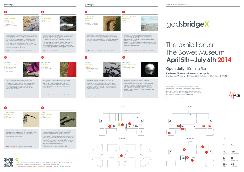A video documenting the project is screened in the foyer for the duration of the exhibition. Alternatively, scan the QR code using your smartphone device or visit www.artworksinteesdale.org/god-s-bridge-artist-project/ to view the short documentary.

(bwc Reception Disabled toilets

Stairs Museum shop È II





**The gardens Second floor**



Toilets Cafe Bowes









**Key:**

TŤ



## **1**









The vibrant abstract, collaged, mixed media paintings are Suzanne Williams' response to the God's Bridge landscape, inspired by its millennia of geological history. In contrast to the strata of natural limestone, she has created new manmade layers by adding and uncovering forms and colours found in the photographic images and drawings made during many visits to this special site. Additional work consists of a watercolour painting made into a poster and postcards, acknowledging the1930s railway posters advertising the Teesdale countryside.

**Offerings Robyn LeRoy-Evans** *Location: 5.1: John and Josephine Story Galleries 5.2: John and Josephine Story Galleries*



God's Bridge, with its profound relationship to time,

existence and memory, compelled Robyn to exist beneath it for a while, to feel the stone on her bare skin. To accompany her unique, bodily response, Robyn also used locally sourced objects and fabrics to develop a visual narrative about God's Bridge and the surrounding landscape.

The 'Curlew Machine' is a mechanical device which recreates the sound and experience of the call of a curlew high above the fells and dales of the North Pennines. An attempt to create an artificial life and audible

landscape – a 'God Machine'.

## Low Flow **Suzanne Williams**

*Location: 1.1: Low Flow, Foyer 1.2: Visit God's Bridge, Ground Floor* 

*1.3: In Spate, Picture Gallery*



Curlew Machine **Steve Messam** *Location: 9: Picture Galleries and Silver Swan*



**2**

"I do not know much about gods; but I think that the river is a strong brown god; sullen, untamed and intractable." T S Eliot, Four Quartets -The Dry Salvages.

Using the River Greta as my collaborator, fabrics have been manipulated and discoloured by the turbulent and ever-changing movement of water, rocks and debris. Natural finds, together with Man's unwanted rubbish have been salvaged from the rocky riverbed in the vicinity of God's Bridge, and melded together they tell a story about this beautiful, wild landscape traversed by the Greta.

This Much is Uncertain is a quest, a walk from God's Bridge to the sea searching for traces of the sediment that once filled the space under the bridge.

## Flow **Gillian Tallentire**

*Location: 2: The Streatlam Galleries*



**6**



**10**

'wind' + auga 'eye. time to another.

Wrap yourself in softness, surround your skin with life, feel what is around you and be grateful for its presence. Imagine another world invading yours and see that you are already intertwined with it. 'The Red Coat' is a living lining, subtle yet significant, framed for the human form.

Leaves explores the acts of observing and explaining the phenomena that we call 'world'. The process of collecting and organising the leaves speaks of the methods of collectors such as John and Josephine Bowes. The pinning of the leaves – using specimen pins – figures as a performative element replicating the labour of collection and categorisation and the 'world building' that this generates. The accompanying video invites one to wander along to God's Bridge, to question and to wonder at the very existence of our perceived world.

Leaves

**Henna Asikainen**



*Location: 10: Picture Galleries* 



Vinotonus' Shrine is a sculpture you complete when you enter it. Invoking an ancient Romano-British deity unique to the vicinity around God's Bridge, it is built dry-stone, replete with velvet, coal and carvings. It is a clash and reconciliation between God's Bridge's wild aesthetics and the museum's ordered opulence.

Vinotonus' Shrine **Ewan Allinson** *Location: 3.1: The Fountain (Gardens) 3.2: Fragment of altar found at Bowes Deo Vinotono*



Walking from Bowes to God's Bridge on 1st May 2013, I photographed the pieces of plastic carried by the River Greta caught in the undergrowth along its banks. It is these (un-natural) shapes that populate this drawing and playfully suggest the build up of sediment, a crucial element in the creation of limestone, the sedimentary rock that forms God's Bridge.

Sediment **Lesley Hicks** *Location: 7: Sediment, Silver and Metals Gallery Drift, located throughout the Museum*



**4**

**8**

This Much is Uncertain is a response to the dissolution of limestone on the River Greta, part of the process that formed God's Bridge. The dissolved rock, is carried downstream over thousands of years leaving behind the distinctive Karst scenery.

Vindauga ~ window, from Old Norse from vindr

An optical horizon enclosed within a glass sphere filled halfway with water, a stilled moment. The work draws on ideas of stillness and passing, the materials of light and water, and processes of illusion and distillation to enclose a view and create a portal from one place and

## This Much is Uncertain **Bryony Purvis**

Vindauga



*Location:*

*4: European Decorative Art*



*Location:*

*8: Silver and Metals Gallery*



**Image:** Low Flow – *mixed media on canvas, 106 x 121 cm* 

**Image:** Offerings – *mixed media, dimensions variable* 



**Image:** Curlew Machine – *mixed media audio automata* 

 $\mathbf \Theta$ 

**Image:** Flow – *fabric, various sizes*

**Image:** The Red Coat – *Sphagnum moss, velvet coat, PVC fabric and slub silk, 82 x 66 x 100 cm*

godsbridgeX

**Image:** leaves – *mixed media leaves of a White Poplar, insect mounting pins and video. Dimensions variable* 

**Image:** Vinotonus' Shrine – *stone, coal, velvet, water, 2 x 2 x 3 m* 

**Image:** Sediment – *graphite on paper, approximately 1.20 x 5 m*

**Image:** This Much is Uncertain – *mixed media, dimensions variable*

**Image:** Vindauga – *glass sphere and base, 11cm diameter* 



# The exhibition, at The Bowes Museum **April 5th – July 6th 2014**

## **Open daily**, 10am to 5pm

**The Bowes Museum admission prices apply**  The Bowes Museum, Barnard Castle, County Durham DL12 8NP

Front cover image: Hannah Leighton-Boyce





"God's Bridge is a landscape of absence, the River Greta's slow erosion of the limestone over centuries, making you reflect on what has been taken away from the place dispersed into the flow of water and time passing, much like the dispersal of thoughts and conversation amongst this cell of artists, uniquely brought together for this moment." **Tania Kovats**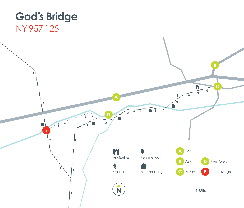## **God's Bridge** NY 957 125